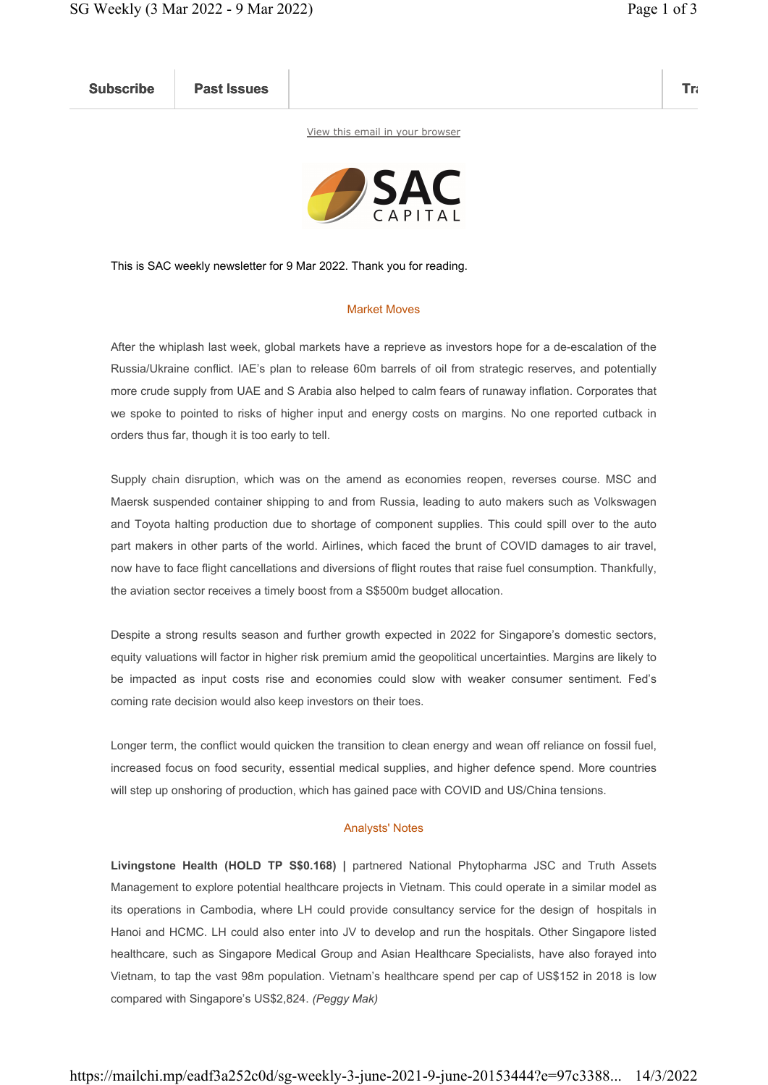Subscribe Past Issues Translate Past Issues Translate Past Issue Inc. 2014 and 2014 and 2014 and 2014 and 2014

View this email in your browser



This is SAC weekly newsletter for 9 Mar 2022. Thank you for reading.

## Market Moves

After the whiplash last week, global markets have a reprieve as investors hope for a de-escalation of the Russia/Ukraine conflict. IAE's plan to release 60m barrels of oil from strategic reserves, and potentially more crude supply from UAE and S Arabia also helped to calm fears of runaway inflation. Corporates that we spoke to pointed to risks of higher input and energy costs on margins. No one reported cutback in orders thus far, though it is too early to tell.

Supply chain disruption, which was on the amend as economies reopen, reverses course. MSC and Maersk suspended container shipping to and from Russia, leading to auto makers such as Volkswagen and Toyota halting production due to shortage of component supplies. This could spill over to the auto part makers in other parts of the world. Airlines, which faced the brunt of COVID damages to air travel, now have to face flight cancellations and diversions of flight routes that raise fuel consumption. Thankfully, the aviation sector receives a timely boost from a S\$500m budget allocation.

Despite a strong results season and further growth expected in 2022 for Singapore's domestic sectors, equity valuations will factor in higher risk premium amid the geopolitical uncertainties. Margins are likely to be impacted as input costs rise and economies could slow with weaker consumer sentiment. Fed's coming rate decision would also keep investors on their toes.

Longer term, the conflict would quicken the transition to clean energy and wean off reliance on fossil fuel, increased focus on food security, essential medical supplies, and higher defence spend. More countries will step up onshoring of production, which has gained pace with COVID and US/China tensions.

## Analysts' Notes

Livingstone Health (HOLD TP S\$0.168) | partnered National Phytopharma JSC and Truth Assets Management to explore potential healthcare projects in Vietnam. This could operate in a similar model as its operations in Cambodia, where LH could provide consultancy service for the design of hospitals in Hanoi and HCMC. LH could also enter into JV to develop and run the hospitals. Other Singapore listed healthcare, such as Singapore Medical Group and Asian Healthcare Specialists, have also forayed into Vietnam, to tap the vast 98m population. Vietnam's healthcare spend per cap of US\$152 in 2018 is low compared with Singapore's US\$2,824. (Peggy Mak)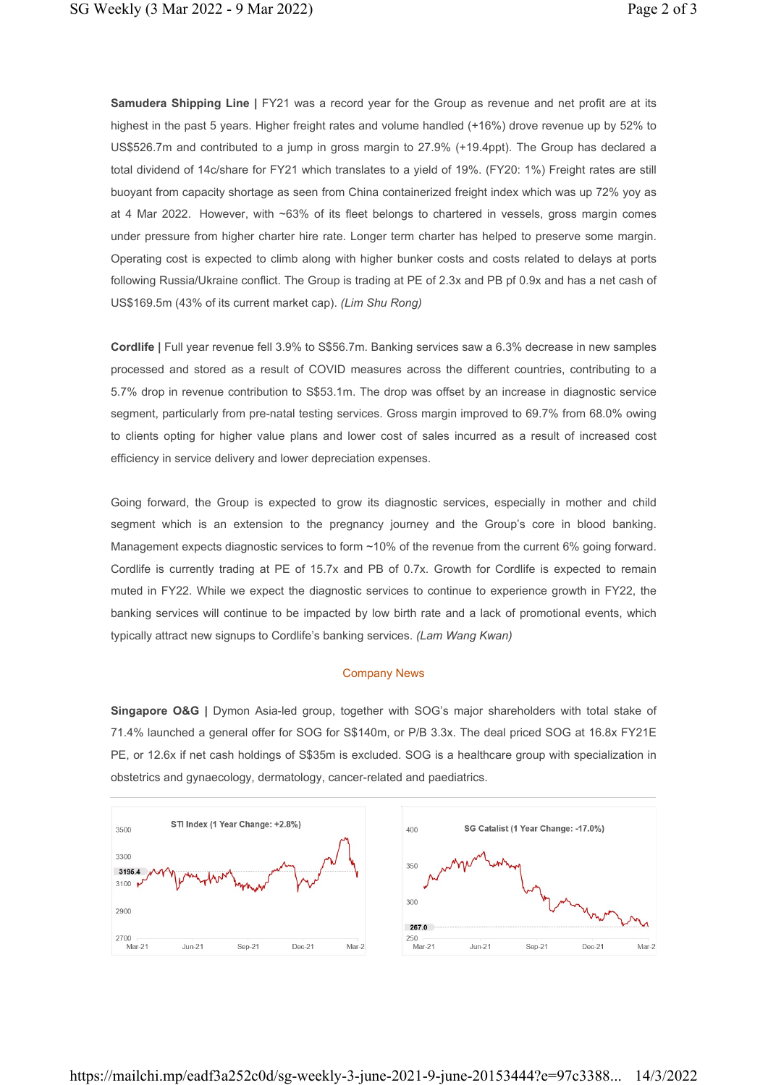Samudera Shipping Line | FY21 was a record year for the Group as revenue and net profit are at its highest in the past 5 years. Higher freight rates and volume handled (+16%) drove revenue up by 52% to US\$526.7m and contributed to a jump in gross margin to 27.9% (+19.4ppt). The Group has declared a total dividend of 14c/share for FY21 which translates to a yield of 19%. (FY20: 1%) Freight rates are still buoyant from capacity shortage as seen from China containerized freight index which was up 72% yoy as at 4 Mar 2022. However, with ~63% of its fleet belongs to chartered in vessels, gross margin comes under pressure from higher charter hire rate. Longer term charter has helped to preserve some margin. Operating cost is expected to climb along with higher bunker costs and costs related to delays at ports following Russia/Ukraine conflict. The Group is trading at PE of 2.3x and PB pf 0.9x and has a net cash of US\$169.5m (43% of its current market cap). (Lim Shu Rong)

Cordlife | Full year revenue fell 3.9% to S\$56.7m. Banking services saw a 6.3% decrease in new samples processed and stored as a result of COVID measures across the different countries, contributing to a 5.7% drop in revenue contribution to S\$53.1m. The drop was offset by an increase in diagnostic service segment, particularly from pre-natal testing services. Gross margin improved to 69.7% from 68.0% owing to clients opting for higher value plans and lower cost of sales incurred as a result of increased cost efficiency in service delivery and lower depreciation expenses.

Going forward, the Group is expected to grow its diagnostic services, especially in mother and child segment which is an extension to the pregnancy journey and the Group's core in blood banking. Management expects diagnostic services to form ~10% of the revenue from the current 6% going forward. Cordlife is currently trading at PE of 15.7x and PB of 0.7x. Growth for Cordlife is expected to remain muted in FY22. While we expect the diagnostic services to continue to experience growth in FY22, the banking services will continue to be impacted by low birth rate and a lack of promotional events, which typically attract new signups to Cordlife's banking services. (Lam Wang Kwan)

## Company News

Singapore O&G | Dymon Asia-led group, together with SOG's major shareholders with total stake of 71.4% launched a general offer for SOG for S\$140m, or P/B 3.3x. The deal priced SOG at 16.8x FY21E PE, or 12.6x if net cash holdings of S\$35m is excluded. SOG is a healthcare group with specialization in obstetrics and gynaecology, dermatology, cancer-related and paediatrics.